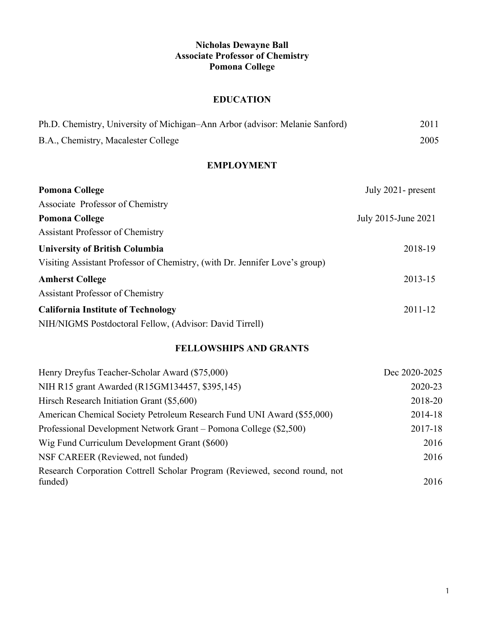# **Nicholas Dewayne Ball Associate Professor of Chemistry Pomona College**

# **EDUCATION**

| Ph.D. Chemistry, University of Michigan–Ann Arbor (advisor: Melanie Sanford) | 2011 |
|------------------------------------------------------------------------------|------|
| B.A., Chemistry, Macalester College                                          | 2005 |

## **EMPLOYMENT**

| <b>Pomona College</b>                                                       | July $2021$ - present |
|-----------------------------------------------------------------------------|-----------------------|
| Associate Professor of Chemistry                                            |                       |
| <b>Pomona College</b>                                                       | July 2015-June 2021   |
| Assistant Professor of Chemistry                                            |                       |
| <b>University of British Columbia</b>                                       | 2018-19               |
| Visiting Assistant Professor of Chemistry, (with Dr. Jennifer Love's group) |                       |
| <b>Amherst College</b>                                                      | 2013-15               |
| <b>Assistant Professor of Chemistry</b>                                     |                       |
| <b>California Institute of Technology</b>                                   | $2011 - 12$           |
| NIH/NIGMS Postdoctoral Fellow, (Advisor: David Tirrell)                     |                       |

## **FELLOWSHIPS AND GRANTS**

| Henry Dreyfus Teacher-Scholar Award (\$75,000)                             | Dec 2020-2025 |
|----------------------------------------------------------------------------|---------------|
| NIH R15 grant Awarded (R15GM134457, \$395,145)                             | 2020-23       |
| Hirsch Research Initiation Grant (\$5,600)                                 | 2018-20       |
| American Chemical Society Petroleum Research Fund UNI Award (\$55,000)     | 2014-18       |
| Professional Development Network Grant – Pomona College (\$2,500)          | 2017-18       |
| Wig Fund Curriculum Development Grant (\$600)                              | 2016          |
| NSF CAREER (Reviewed, not funded)                                          | 2016          |
| Research Corporation Cottrell Scholar Program (Reviewed, second round, not |               |
| funded)                                                                    | 2016          |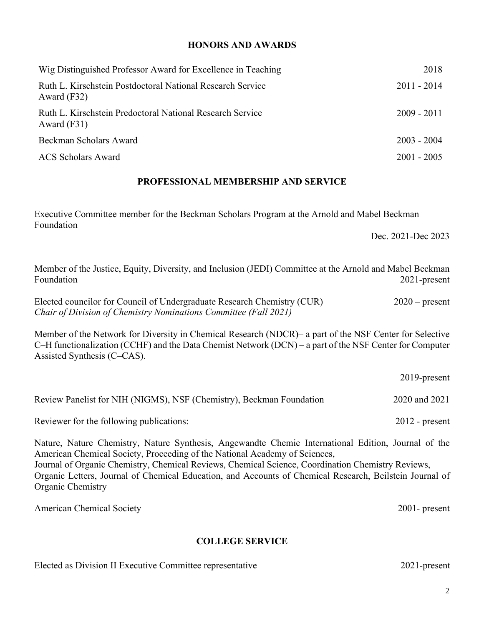### **HONORS AND AWARDS**

| Wig Distinguished Professor Award for Excellence in Teaching                | 2018          |  |
|-----------------------------------------------------------------------------|---------------|--|
| Ruth L. Kirschstein Postdoctoral National Research Service<br>Award $(F32)$ | $2011 - 2014$ |  |
| Ruth L. Kirschstein Predoctoral National Research Service<br>Award $(F31)$  | $2009 - 2011$ |  |
| Beckman Scholars Award                                                      | $2003 - 2004$ |  |
| <b>ACS Scholars Award</b>                                                   | $2001 - 2005$ |  |

#### **PROFESSIONAL MEMBERSHIP AND SERVICE**

Executive Committee member for the Beckman Scholars Program at the Arnold and Mabel Beckman Foundation

Dec. 2021-Dec 2023

Member of the Justice, Equity, Diversity, and Inclusion (JEDI) Committee at the Arnold and Mabel Beckman Foundation 2021-present

Elected councilor for Council of Undergraduate Research Chemistry (CUR) 2020 – present *Chair of Division of Chemistry Nominations Committee (Fall 2021)*

Member of the Network for Diversity in Chemical Research (NDCR)– a part of the NSF Center for Selective C–H functionalization (CCHF) and the Data Chemist Network (DCN) – a part of the NSF Center for Computer Assisted Synthesis (C–CAS).

|                                                                                                                                                                                   | $2019$ -present  |
|-----------------------------------------------------------------------------------------------------------------------------------------------------------------------------------|------------------|
| Review Panelist for NIH (NIGMS), NSF (Chemistry), Beckman Foundation                                                                                                              | 2020 and 2021    |
| Reviewer for the following publications:                                                                                                                                          | $2012$ - present |
| Nature, Nature Chemistry, Nature Synthesis, Angewandte Chemie International Edition, Journal of the<br>American Chemical Society, Proceeding of the National Academy of Sciences, |                  |

Journal of Organic Chemistry, Chemical Reviews, Chemical Science, Coordination Chemistry Reviews, Organic Letters, Journal of Chemical Education, and Accounts of Chemical Research, Beilstein Journal of Organic Chemistry

American Chemical Society 2001- present

### **COLLEGE SERVICE**

| Elected as Division II Executive Committee representative | 2021-present |
|-----------------------------------------------------------|--------------|
|-----------------------------------------------------------|--------------|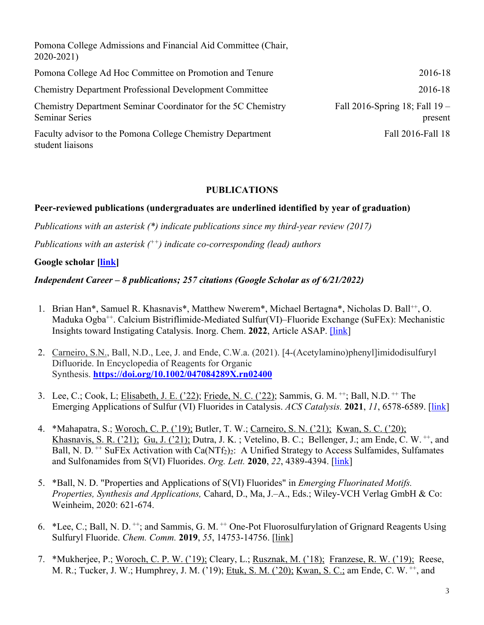Pomona College Admissions and Financial Aid Committee (Chair, 2020-2021) Pomona College Ad Hoc Committee on Promotion and Tenure 2016-18 Chemistry Department Professional Development Committee 2016-18 Chemistry Department Seminar Coordinator for the 5C Chemistry Seminar Series Fall 2016-Spring 18; Fall 19 – present Faculty advisor to the Pomona College Chemistry Department student liaisons Fall 2016-Fall 18

### **PUBLICATIONS**

## **Peer-reviewed publications (undergraduates are underlined identified by year of graduation)**

*Publications with an asterisk (\*) indicate publications since my third-year review (2017)*

*Publications with an asterisk (++) indicate co-corresponding (lead) authors*

### **Google scholar [link]**

### *Independent Career – 8 publications; 257 citations (Google Scholar as of 6/21/2022)*

- 1. Brian Han\*, Samuel R. Khasnavis\*, Matthew Nwerem\*, Michael Bertagna\*, Nicholas D. Ball<sup>++</sup>, O. Maduka Ogba++. Calcium Bistriflimide-Mediated Sulfur(VI)–Fluoride Exchange (SuFEx): Mechanistic Insights toward Instigating Catalysis. Inorg. Chem. **2022**, Article ASAP. [link]
- 2. Carneiro, S.N., Ball, N.D., Lee, J. and Ende, C.W.a. (2021). [4-(Acetylamino)phenyl]imidodisulfuryl Difluoride. In Encyclopedia of Reagents for Organic Synthesis. **https://doi.org/10.1002/047084289X.rn02400**
- 3. Lee, C.; Cook, L; Elisabeth, J. E. ('22); Friede, N. C. ('22); Sammis, G. M. ++; Ball, N.D. ++ The Emerging Applications of Sulfur (VI) Fluorides in Catalysis. *ACS Catalysis.* **2021**, *11*, 6578-6589. [link]
- 4. \*Mahapatra, S.; Woroch, C. P. ('19); Butler, T. W.; Carneiro, S. N. ('21); Kwan, S. C. ('20); Khasnavis, S. R. ('21); Gu, J. ('21); Dutra, J. K.; Vetelino, B. C.; Bellenger, J.; am Ende, C. W.  $^{++}$ , and Ball, N. D. <sup>++</sup> SuFEx Activation with Ca(NTf<sub>2</sub>)<sub>2</sub>: A Unified Strategy to Access Sulfamides, Sulfamates and Sulfonamides from S(VI) Fluorides. *Org. Lett.* **2020**, *22*, 4389-4394. [link]
- 5. \*Ball, N. D. "Properties and Applications of S(VI) Fluorides" in *Emerging Fluorinated Motifs. Properties, Synthesis and Applications,* Cahard, D., Ma, J.–A., Eds.; Wiley-VCH Verlag GmbH & Co: Weinheim, 2020: 621-674.
- 6. \*Lee, C.; Ball, N. D.  $^{++}$ ; and Sammis, G. M.  $^{++}$  One-Pot Fluorosulfurylation of Grignard Reagents Using Sulfuryl Fluoride. *Chem. Comm.* **2019**, *55*, 14753-14756. [link]
- 7. \*Mukherjee, P.; Woroch, C. P. W. ('19); Cleary, L.; Rusznak, M. ('18); Franzese, R. W. ('19); Reese, M. R.; Tucker, J. W.; Humphrey, J. M. ('19); Etuk, S. M. ('20); Kwan, S. C.; am Ende, C. W. ++, and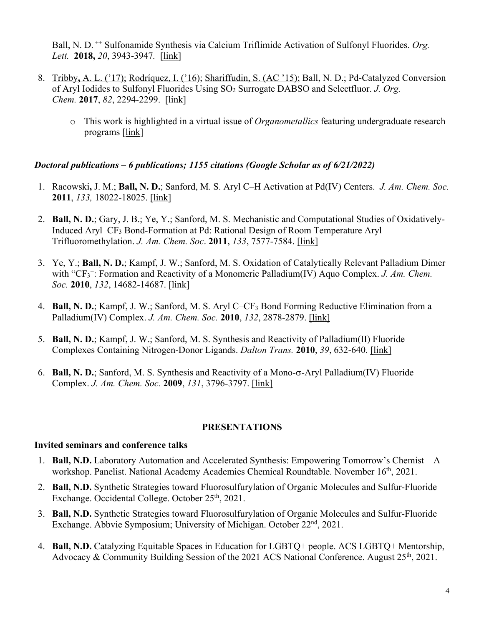Ball, N. D. ++ Sulfonamide Synthesis via Calcium Triflimide Activation of Sulfonyl Fluorides. *Org. Lett.* **2018,** *20*, 3943-3947*.* [link]

- 8. Tribby**,** A. L. ('17); Rodríquez, I. ('16); Shariffudin, S. (AC '15); Ball, N. D.; Pd-Catalyzed Conversion of Aryl Iodides to Sulfonyl Fluorides Using SO2 Surrogate DABSO and Selectfluor. *J. Org. Chem.* **2017**, *82*, 2294-2299. [link]
	- o This work is highlighted in a virtual issue of *Organometallics* featuring undergraduate research programs [link]

## *Doctoral publications – 6 publications; 1155 citations (Google Scholar as of 6/21/2022)*

- 1. Racowski**,** J. M.; **Ball, N. D.**; Sanford, M. S. Aryl C–H Activation at Pd(IV) Centers. *J. Am. Chem. Soc.*  **2011**, *133,* 18022-18025. [link]
- 2. **Ball, N. D.**; Gary, J. B.; Ye, Y.; Sanford, M. S. Mechanistic and Computational Studies of Oxidatively-Induced Aryl–CF3 Bond-Formation at Pd: Rational Design of Room Temperature Aryl Trifluoromethylation. *J. Am. Chem. Soc*. **2011**, *133*, 7577-7584. [link]
- 3. Ye, Y.; **Ball, N. D.**; Kampf, J. W.; Sanford, M. S. Oxidation of Catalytically Relevant Palladium Dimer with "CF<sub>3</sub><sup>+</sup>: Formation and Reactivity of a Monomeric Palladium(IV) Aquo Complex. *J. Am. Chem. Soc.* **2010**, *132*, 14682-14687. [link]
- 4. **Ball, N. D.**; Kampf, J. W.; Sanford, M. S. Aryl C–CF3 Bond Forming Reductive Elimination from a Palladium(IV) Complex. *J. Am. Chem. Soc.* **2010**, *132*, 2878-2879. [link]
- 5. **Ball, N. D.**; Kampf, J. W.; Sanford, M. S. Synthesis and Reactivity of Palladium(II) Fluoride Complexes Containing Nitrogen-Donor Ligands. *Dalton Trans.* **2010**, *39*, 632-640. [link]
- 6. **Ball, N. D.**; Sanford, M. S. Synthesis and Reactivity of a Mono-s-Aryl Palladium(IV) Fluoride Complex. *J. Am. Chem. Soc.* **2009**, *131*, 3796-3797. [link]

## **PRESENTATIONS**

## **Invited seminars and conference talks**

- 1. **Ball, N.D.** Laboratory Automation and Accelerated Synthesis: Empowering Tomorrow's Chemist A workshop. Panelist. National Academy Academies Chemical Roundtable. November 16<sup>th</sup>, 2021.
- 2. **Ball, N.D.** Synthetic Strategies toward Fluorosulfurylation of Organic Molecules and Sulfur-Fluoride Exchange. Occidental College. October 25<sup>th</sup>, 2021.
- 3. **Ball, N.D.** Synthetic Strategies toward Fluorosulfurylation of Organic Molecules and Sulfur-Fluoride Exchange. Abbvie Symposium; University of Michigan. October 22<sup>nd</sup>, 2021.
- 4. **Ball, N.D.** Catalyzing Equitable Spaces in Education for LGBTQ+ people. ACS LGBTQ+ Mentorship, Advocacy & Community Building Session of the 2021 ACS National Conference. August 25<sup>th</sup>, 2021.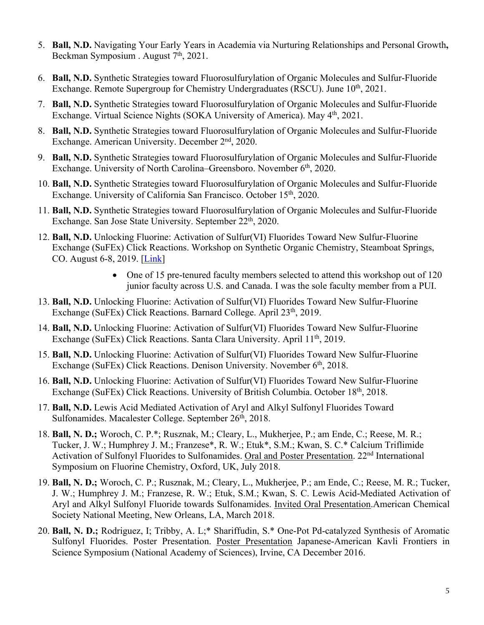- 5. **Ball, N.D.** Navigating Your Early Years in Academia via Nurturing Relationships and Personal Growth**,**  Beckman Symposium . August 7<sup>th</sup>, 2021.
- 6. **Ball, N.D.** Synthetic Strategies toward Fluorosulfurylation of Organic Molecules and Sulfur-Fluoride Exchange. Remote Supergroup for Chemistry Undergraduates (RSCU). June 10<sup>th</sup>, 2021.
- 7. **Ball, N.D.** Synthetic Strategies toward Fluorosulfurylation of Organic Molecules and Sulfur-Fluoride Exchange. Virtual Science Nights (SOKA University of America). May 4th, 2021.
- 8. **Ball, N.D.** Synthetic Strategies toward Fluorosulfurylation of Organic Molecules and Sulfur-Fluoride Exchange. American University. December 2<sup>nd</sup>, 2020.
- 9. **Ball, N.D.** Synthetic Strategies toward Fluorosulfurylation of Organic Molecules and Sulfur-Fluoride Exchange. University of North Carolina–Greensboro. November 6<sup>th</sup>, 2020.
- 10. **Ball, N.D.** Synthetic Strategies toward Fluorosulfurylation of Organic Molecules and Sulfur-Fluoride Exchange. University of California San Francisco. October 15<sup>th</sup>, 2020.
- 11. **Ball, N.D.** Synthetic Strategies toward Fluorosulfurylation of Organic Molecules and Sulfur-Fluoride Exchange. San Jose State University. September 22<sup>th</sup>, 2020.
- 12. **Ball, N.D.** Unlocking Fluorine: Activation of Sulfur(VI) Fluorides Toward New Sulfur-Fluorine Exchange (SuFEx) Click Reactions. Workshop on Synthetic Organic Chemistry, Steamboat Springs, CO. August 6-8, 2019. [*Link*]
	- One of 15 pre-tenured faculty members selected to attend this workshop out of 120 junior faculty across U.S. and Canada. I was the sole faculty member from a PUI.
- 13. **Ball, N.D.** Unlocking Fluorine: Activation of Sulfur(VI) Fluorides Toward New Sulfur-Fluorine Exchange (SuFEx) Click Reactions. Barnard College. April 23<sup>th</sup>, 2019.
- 14. **Ball, N.D.** Unlocking Fluorine: Activation of Sulfur(VI) Fluorides Toward New Sulfur-Fluorine Exchange (SuFEx) Click Reactions. Santa Clara University. April 11<sup>th</sup>, 2019.
- 15. **Ball, N.D.** Unlocking Fluorine: Activation of Sulfur(VI) Fluorides Toward New Sulfur-Fluorine Exchange (SuFEx) Click Reactions. Denison University. November 6<sup>th</sup>, 2018.
- 16. **Ball, N.D.** Unlocking Fluorine: Activation of Sulfur(VI) Fluorides Toward New Sulfur-Fluorine Exchange (SuFEx) Click Reactions. University of British Columbia. October 18<sup>th</sup>, 2018.
- 17. **Ball, N.D.** Lewis Acid Mediated Activation of Aryl and Alkyl Sulfonyl Fluorides Toward Sulfonamides. Macalester College. September 26<sup>th</sup>, 2018.
- 18. **Ball, N. D.;** Woroch, C. P.\*; Rusznak, M.; Cleary, L., Mukherjee, P.; am Ende, C.; Reese, M. R.; Tucker, J. W.; Humphrey J. M.; Franzese\*, R. W.; Etuk\*, S.M.; Kwan, S. C.\* Calcium Triflimide Activation of Sulfonyl Fluorides to Sulfonamides. Oral and Poster Presentation. 22<sup>nd</sup> International Symposium on Fluorine Chemistry, Oxford, UK, July 2018.
- 19. **Ball, N. D.;** Woroch, C. P.; Rusznak, M.; Cleary, L., Mukherjee, P.; am Ende, C.; Reese, M. R.; Tucker, J. W.; Humphrey J. M.; Franzese, R. W.; Etuk, S.M.; Kwan, S. C. Lewis Acid-Mediated Activation of Aryl and Alkyl Sulfonyl Fluoride towards Sulfonamides. Invited Oral Presentation.American Chemical Society National Meeting, New Orleans, LA, March 2018.
- 20. **Ball, N. D.;** Rodriguez, I; Tribby, A. L;\* Shariffudin, S.\* One-Pot Pd-catalyzed Synthesis of Aromatic Sulfonyl Fluorides. Poster Presentation. Poster Presentation Japanese-American Kavli Frontiers in Science Symposium (National Academy of Sciences), Irvine, CA December 2016.